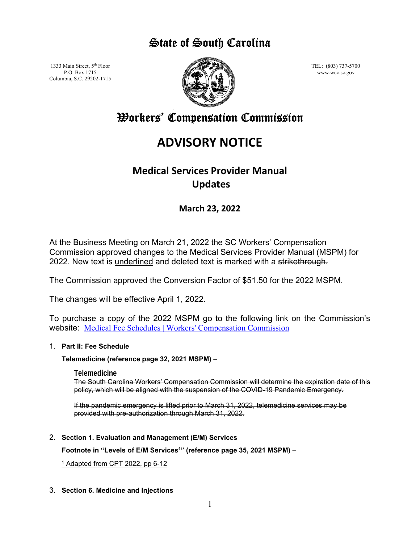## State of South Carolina

1333 Main Street, 5<sup>th</sup> Floor P.O. Box 1715 Columbia, S.C. 29202-1715



TEL: (803) 737-5700 www.wcc.sc.gov

# Workers' Compensation Commission

# **ADVISORY NOTICE**

## **Medical Services Provider Manual Updates**

### **March 23, 2022**

At the Business Meeting on March 21, 2022 the SC Workers' Compensation Commission approved changes to the Medical Services Provider Manual (MSPM) for 2022. New text is underlined and deleted text is marked with a strikethrough.

The Commission approved the Conversion Factor of \$51.50 for the 2022 MSPM.

The changes will be effective April 1, 2022.

To purchase a copy of the 2022 MSPM go to the following link on the Commission's website: [Medical Fee Schedules | Workers' Compensation Commission](https://wcc.sc.gov/medical-providers/medical-services-division/medical-fee-schedules)

#### 1. **Part II: Fee Schedule**

**Telemedicine (reference page 32, 2021 MSPM)** –

**Telemedicine** 

The South Carolina Workers' Compensation Commission will determine the expiration date of this policy, which will be aligned with the suspension of the COVID-19 Pandemic Emergency.

If the pandemic emergency is lifted prior to March 31, 2022, telemedicine services may be provided with pre-authorization through March 31, 2022.

2. **Section 1. Evaluation and Management (E/M) Services** 

**Footnote in "Levels of E/M Services1" (reference page 35, 2021 MSPM)** –

<sup>1</sup> Adapted from CPT 2022, pp 6-12

3. **Section 6. Medicine and Injections**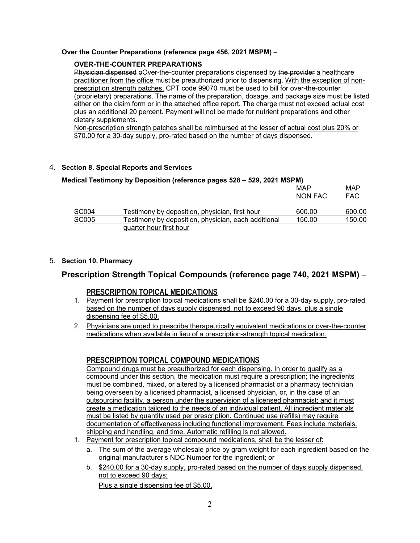#### **Over the Counter Preparations (reference page 456, 2021 MSPM)** –

#### **OVER-THE-COUNTER PREPARATIONS**

Physician dispensed eOver-the-counter preparations dispensed by the provider a healthcare practitioner from the office must be preauthorized prior to dispensing. With the exception of nonprescription strength patches, CPT code 99070 must be used to bill for over-the-counter (proprietary) preparations. The name of the preparation, dosage, and package size must be listed either on the claim form or in the attached office report. The charge must not exceed actual cost plus an additional 20 percent. Payment will not be made for nutrient preparations and other dietary supplements.

Non-prescription strength patches shall be reimbursed at the lesser of actual cost plus 20% or \$70.00 for a 30-day supply, pro-rated based on the number of days dispensed.

#### 4. **Section 8. Special Reports and Services**

|              | Medical Testimony by Deposition (reference pages 528 - 529, 2021 MSPM) |                |                   |
|--------------|------------------------------------------------------------------------|----------------|-------------------|
|              |                                                                        | MAP<br>NON FAC | MAP<br><b>FAC</b> |
| <b>SC004</b> | Testimony by deposition, physician, first hour                         | 600.00         | 600.00            |
| <b>SC005</b> | Testimony by deposition, physician, each additional                    | 150.00         | 150.00            |
|              | quarter hour first hour                                                |                |                   |

#### 5. **Section 10. Pharmacy**

#### **Prescription Strength Topical Compounds (reference page 740, 2021 MSPM)** –

#### **PRESCRIPTION TOPICAL MEDICATIONS**

- 1. Payment for prescription topical medications shall be \$240.00 for a 30-day supply, pro-rated based on the number of days supply dispensed, not to exceed 90 days, plus a single dispensing fee of \$5.00.
- 2. Physicians are urged to prescribe therapeutically equivalent medications or over-the-counter medications when available in lieu of a prescription-strength topical medication.

#### **PRESCRIPTION TOPICAL COMPOUND MEDICATIONS**

Compound drugs must be preauthorized for each dispensing. In order to qualify as a compound under this section, the medication must require a prescription; the ingredients must be combined, mixed, or altered by a licensed pharmacist or a pharmacy technician being overseen by a licensed pharmacist, a licensed physician, or, in the case of an outsourcing facility, a person under the supervision of a licensed pharmacist; and it must create a medication tailored to the needs of an individual patient. All ingredient materials must be listed by quantity used per prescription. Continued use (refills) may require documentation of effectiveness including functional improvement. Fees include materials, shipping and handling, and time. Automatic refilling is not allowed.

- 1. Payment for prescription topical compound medications, shall be the lesser of:
	- a. The sum of the average wholesale price by gram weight for each ingredient based on the original manufacturer's NDC Number for the ingredient; or
	- b. \$240.00 for a 30-day supply, pro-rated based on the number of days supply dispensed, not to exceed 90 days; Plus a single dispensing fee of \$5.00.